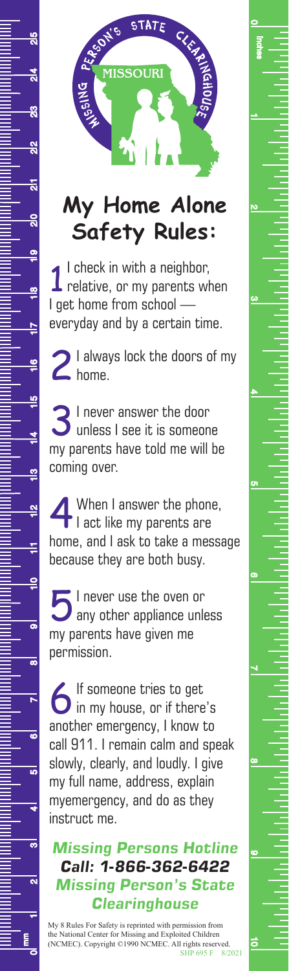

2lS

 $\frac{4}{10}$ 

 $\frac{8}{2}$ 

 $\frac{2}{2}$ 

듧

 $\frac{1}{2}$ 

 $\frac{1}{x}$ 

 $\frac{8}{1}$ 

 $\overline{r}$ 

 $\frac{6}{1}$ 

 $\frac{1}{10}$ 

 $\frac{4}{1}$ 

≌

 $\mathbf{\underline{a}}$ 

Ė

 $\frac{1}{x}$ 

 $\overline{\bullet}$ 

 $\overline{\bullet}$ 

 $\overline{\phantom{a}}$ 

 $\overline{\bullet}$ 

<u>ದ</u>

₹

 $\overline{0}$ 

 $\overline{\mathbf{a}}$ 

## **My Home Alone Safety Rules:**

**1** I check in with a neighbor,<br>relative, or my parents when I check in with a neighbor, I get home from school everyday and by a certain time.

2 I always lock the doors of my<br>
2 home.

3I never answer the door unless I see it is someone my parents have told me will be coming over.

When I answer the phone,<br>I act like my parents are home, and I ask to take a message because they are both busy.

5I never use the oven or any other appliance unless my parents have given me permission.

6If someone tries to get in my house, or if there's another emergency, I know to call 911. I remain calm and speak slowly, clearly, and loudly. I give my full name, address, explain myemergency, and do as they instruct me.

*Missing Persons Hotline Call: 1-866-362-6422 Missing Person's State Clearinghouse*

My 8 Rules For Safety is reprinted with permission from the National Center for Missing and Exploited Children (NCMEC). Copyright ©1990 NCMEC. All rights reserved. SHP 695 F 8/2021